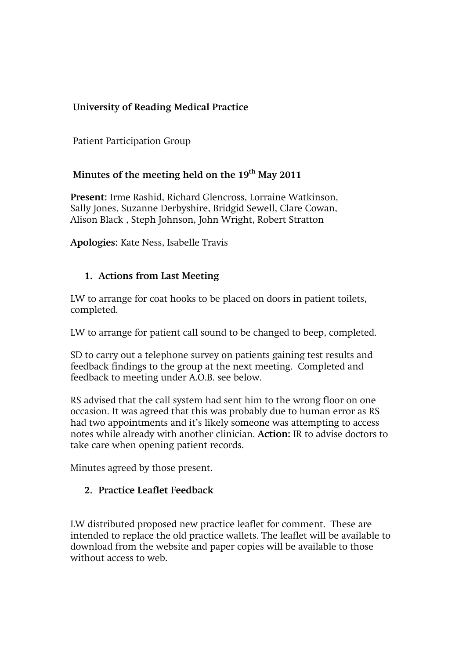# **University of Reading Medical Practice**

Patient Participation Group

## Minutes of the meeting held on the 19<sup>th</sup> May 2011

**Present:** Irme Rashid, Richard Glencross, Lorraine Watkinson, Sally Jones, Suzanne Derbyshire, Bridgid Sewell, Clare Cowan, Alison Black , Steph Johnson, John Wright, Robert Stratton

**Apologies:** Kate Ness, Isabelle Travis

### **1. Actions from Last Meeting**

LW to arrange for coat hooks to be placed on doors in patient toilets, completed.

LW to arrange for patient call sound to be changed to beep, completed.

SD to carry out a telephone survey on patients gaining test results and feedback findings to the group at the next meeting. Completed and feedback to meeting under A.O.B. see below.

RS advised that the call system had sent him to the wrong floor on one occasion. It was agreed that this was probably due to human error as RS had two appointments and it's likely someone was attempting to access notes while already with another clinician. **Action:** IR to advise doctors to take care when opening patient records.

Minutes agreed by those present.

#### **2. Practice Leaflet Feedback**

LW distributed proposed new practice leaflet for comment. These are intended to replace the old practice wallets. The leaflet will be available to download from the website and paper copies will be available to those without access to web.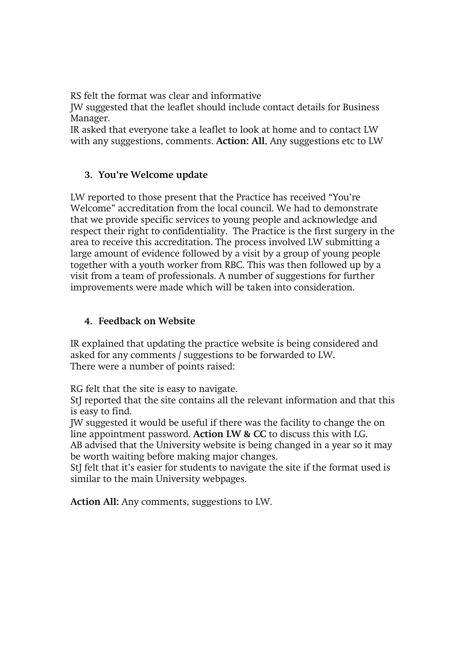RS felt the format was clear and informative

JW suggested that the leaflet should include contact details for Business Manager.

IR asked that everyone take a leaflet to look at home and to contact LW with any suggestions, comments. **Action: All**, Any suggestions etc to LW

### **3. You're Welcome update**

LW reported to those present that the Practice has received "You're Welcome" accreditation from the local council. We had to demonstrate that we provide specific services to young people and acknowledge and respect their right to confidentiality. The Practice is the first surgery in the area to receive this accreditation. The process involved LW submitting a large amount of evidence followed by a visit by a group of young people together with a youth worker from RBC. This was then followed up by a visit from a team of professionals. A number of suggestions for further improvements were made which will be taken into consideration.

#### **4. Feedback on Website**

IR explained that updating the practice website is being considered and asked for any comments / suggestions to be forwarded to LW. There were a number of points raised:

RG felt that the site is easy to navigate.

StJ reported that the site contains all the relevant information and that this is easy to find.

JW suggested it would be useful if there was the facility to change the on line appointment password. **Action LW & CC** to discuss this with LG.

AB advised that the University website is being changed in a year so it may be worth waiting before making major changes.

StJ felt that it's easier for students to navigate the site if the format used is similar to the main University webpages.

**Action All:** Any comments, suggestions to LW.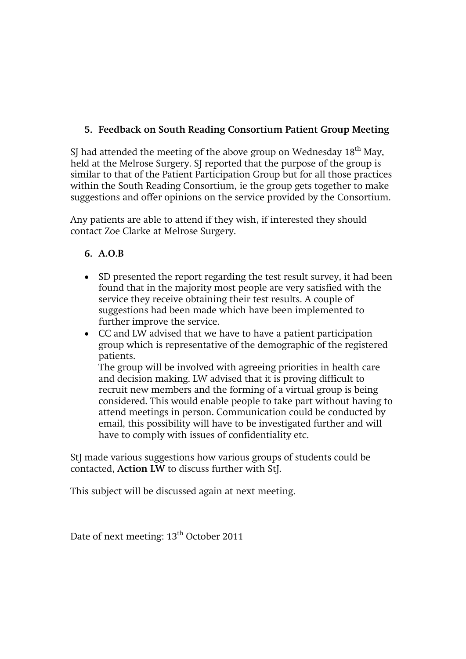# **5. Feedback on South Reading Consortium Patient Group Meeting**

SJ had attended the meeting of the above group on Wednesday  $18<sup>th</sup>$  May, held at the Melrose Surgery. SJ reported that the purpose of the group is similar to that of the Patient Participation Group but for all those practices within the South Reading Consortium, ie the group gets together to make suggestions and offer opinions on the service provided by the Consortium.

Any patients are able to attend if they wish, if interested they should contact Zoe Clarke at Melrose Surgery.

## **6. A.O.B**

- SD presented the report regarding the test result survey, it had been found that in the majority most people are very satisfied with the service they receive obtaining their test results. A couple of suggestions had been made which have been implemented to further improve the service.
- CC and LW advised that we have to have a patient participation group which is representative of the demographic of the registered patients.

The group will be involved with agreeing priorities in health care and decision making. LW advised that it is proving difficult to recruit new members and the forming of a virtual group is being considered. This would enable people to take part without having to attend meetings in person. Communication could be conducted by email, this possibility will have to be investigated further and will have to comply with issues of confidentiality etc.

StJ made various suggestions how various groups of students could be contacted, **Action LW** to discuss further with StJ.

This subject will be discussed again at next meeting.

Date of next meeting:  $13<sup>th</sup>$  October 2011